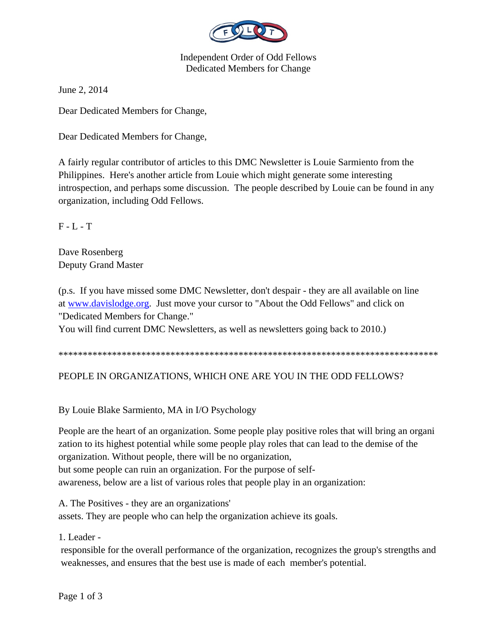

Independent Order of Odd Fellows Dedicated Members for Change

June 2, 2014

Dear Dedicated Members for Change,

Dear Dedicated Members for Change,

A fairly regular contributor of articles to this DMC Newsletter is Louie Sarmiento from the Philippines. Here's another article from Louie which might generate some interesting introspection, and perhaps some discussion. The people described by Louie can be found in any organization, including Odd Fellows.

F - L - T

Dave Rosenberg Deputy Grand Master

(p.s. If you have missed some DMC Newsletter, don't despair - they are all available on line at www.davislodge.org. Just move your cursor to "About the Odd Fellows" and click on "Dedicated Members for Change."

You will find current DMC Newsletters, as well as newsletters going back to 2010.)

\*\*\*\*\*\*\*\*\*\*\*\*\*\*\*\*\*\*\*\*\*\*\*\*\*\*\*\*\*\*\*\*\*\*\*\*\*\*\*\*\*\*\*\*\*\*\*\*\*\*\*\*\*\*\*\*\*\*\*\*\*\*\*\*\*\*\*\*\*\*\*\*\*\*\*\*\*\*

## PEOPLE IN ORGANIZATIONS, WHICH ONE ARE YOU IN THE ODD FELLOWS?

By Louie Blake Sarmiento, MA in I/O Psychology

People are the heart of an organization. Some people play positive roles that will bring an organi zation to its highest potential while some people play roles that can lead to the demise of the organization. Without people, there will be no organization, but some people can ruin an organization. For the purpose of selfawareness, below are a list of various roles that people play in an organization:

A. The Positives - they are an organizations' assets. They are people who can help the organization achieve its goals.

1. Leader -

 responsible for the overall performance of the organization, recognizes the group's strengths and weaknesses, and ensures that the best use is made of each member's potential.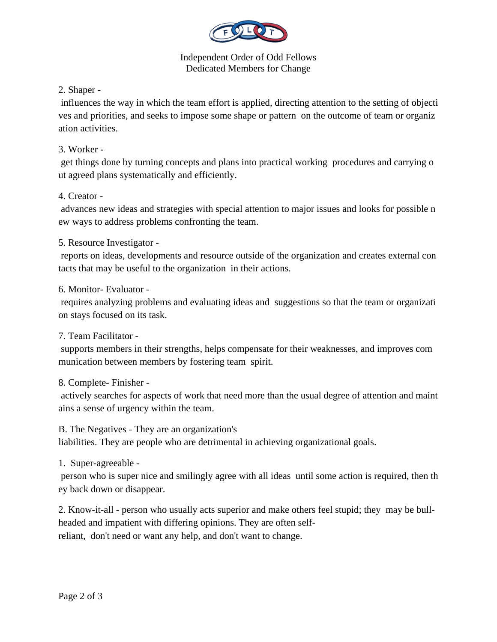

#### Independent Order of Odd Fellows Dedicated Members for Change

# 2. Shaper -

 influences the way in which the team effort is applied, directing attention to the setting of objecti ves and priorities, and seeks to impose some shape or pattern on the outcome of team or organiz ation activities.

## 3. Worker -

 get things done by turning concepts and plans into practical working procedures and carrying o ut agreed plans systematically and efficiently.

# 4. Creator -

 advances new ideas and strategies with special attention to major issues and looks for possible n ew ways to address problems confronting the team.

5. Resource Investigator -

 reports on ideas, developments and resource outside of the organization and creates external con tacts that may be useful to the organization in their actions.

## 6. Monitor- Evaluator -

 requires analyzing problems and evaluating ideas and suggestions so that the team or organizati on stays focused on its task.

## 7. Team Facilitator -

 supports members in their strengths, helps compensate for their weaknesses, and improves com munication between members by fostering team spirit.

## 8. Complete- Finisher -

 actively searches for aspects of work that need more than the usual degree of attention and maint ains a sense of urgency within the team.

#### B. The Negatives - They are an organization's

liabilities. They are people who are detrimental in achieving organizational goals.

## 1. Super-agreeable -

 person who is super nice and smilingly agree with all ideas until some action is required, then th ey back down or disappear.

2. Know-it-all - person who usually acts superior and make others feel stupid; they may be bullheaded and impatient with differing opinions. They are often selfreliant, don't need or want any help, and don't want to change.